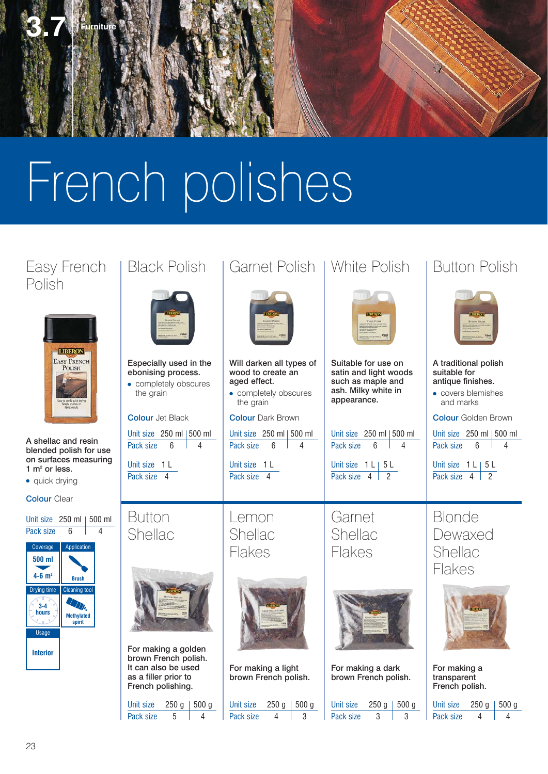

# French polishes

# Polish



A shellac and resin blended polish for use on surfaces measuring 1  $m<sup>2</sup>$  or less.

• quick drying

Colour Clear





● completely obscures the grain

Unit size  $250$  ml  $|500$  ml Pack size 6 4

Unit size 1 L Pack size 4







Unit size  $250 g$  | 500 g Pack size 5 4

# Easy French | Black Polish | Garnet Polish | White Polish | Button Polish



Will darken all types of wood to create an aged effect.

● completely obscures the grain

**Colour Dark Brown** 

Unit size  $250$  ml  $500$  ml Pack size 6 4

Unit size 1 L Pack size 4

Lemon Shellac Flakes



For making a light brown French polish. Unit size  $250$  g  $\mid 500$  g Pack size 4 3



Suitable for use on satin and light woods such as maple and ash. Milky white in appearance.

Unit size  $250$  ml  $|500$  ml Pack size 6 4

Unit size  $1 \lfloor 5 \lfloor 5 \rfloor$ Pack size 4 2

Garnet Shellac Flakes



For making a dark brown French polish.

#### Unit size  $250 g$  | 500 g Pack size 3 3

# A traditional polish

**Colour Jet Black Colour Dark Brown Colour Colour Golden Brown** suitable for antique finishes. ● covers blemishes and marks Unit size  $250$  ml  $|500$  ml

Pack size 6 4

Unit size  $1 \lfloor 5 \lfloor 5 \rfloor$ Pack size  $4$   $2$ 





For making a transparent French polish.

| Unit size | $250q$   500 q |  |
|-----------|----------------|--|
| Pack size |                |  |